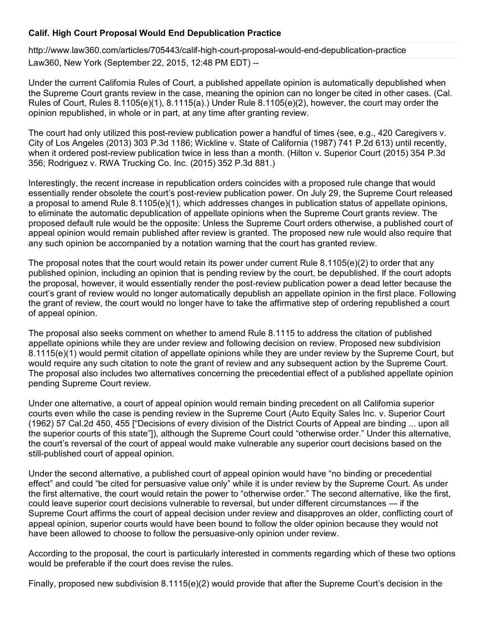## **Calif. High Court Proposal Would End Depublication Practice**

<http://www.law360.com/articles/705443/calif-high-court-proposal-would-end-depublication-practice> Law360, New York (September 22, 2015, 12:48 PM EDT) --

Under the current California Rules of Court, a published appellate opinion is automatically depublished when the Supreme Court grants review in the case, meaning the opinion can no longer be cited in other cases. (Cal. Rules of Court, Rules 8.1105(e)(1), 8.1115(a).) Under Rule 8.1105(e)(2), however, the court may order the opinion republished, in whole or in part, at any time after granting review.

The court had only utilized this post-review publication power a handful of times (see, e.g., 420 Caregivers v. City of Los Angeles (2013) 303 P.3d 1186; Wickline v. State of California (1987) 741 P.2d 613) until recently, when it ordered post-review publication twice in less than a month. (Hilton v. Superior Court (2015) 354 P.3d 356; Rodriguez v. RWA Trucking Co. Inc. (2015) 352 P.3d 881.)

Interestingly, the recent increase in republication orders coincides with a proposed rule change that would essentially render obsolete the court's post-review publication power. On July 29, the Supreme Court released a proposal to amend Rule 8.1105(e)(1), which addresses changes in publication status of appellate opinions, to eliminate the automatic depublication of appellate opinions when the Supreme Court grants review. The proposed default rule would be the opposite: Unless the Supreme Court orders otherwise, a published court of appeal opinion would remain published after review is granted. The proposed new rule would also require that any such opinion be accompanied by a notation warning that the court has granted review.

The proposal notes that the court would retain its power under current Rule 8.1105(e)(2) to order that any published opinion, including an opinion that is pending review by the court, be depublished. If the court adopts the proposal, however, it would essentially render the post-review publication power a dead letter because the court's grant of review would no longer automatically depublish an appellate opinion in the first place. Following the grant of review, the court would no longer have to take the affirmative step of ordering republished a court of appeal opinion.

The proposal also seeks comment on whether to amend Rule 8.1115 to address the citation of published appellate opinions while they are under review and following decision on review. Proposed new subdivision 8.1115(e)(1) would permit citation of appellate opinions while they are under review by the Supreme Court, but would require any such citation to note the grant of review and any subsequent action by the Supreme Court. The proposal also includes two alternatives concerning the precedential effect of a published appellate opinion pending Supreme Court review.

Under one alternative, a court of appeal opinion would remain binding precedent on all California superior courts even while the case is pending review in the Supreme Court (Auto Equity Sales Inc. v. Superior Court (1962) 57 Cal.2d 450, 455 ["Decisions of every division of the District Courts of Appeal are binding ... upon all the superior courts of this state"]), although the Supreme Court could "otherwise order." Under this alternative, the court's reversal of the court of appeal would make vulnerable any superior court decisions based on the still-published court of appeal opinion.

Under the second alternative, a published court of appeal opinion would have "no binding or precedential effect" and could "be cited for persuasive value only" while it is under review by the Supreme Court. As under the first alternative, the court would retain the power to "otherwise order." The second alternative, like the first, could leave superior court decisions vulnerable to reversal, but under different circumstances — if the Supreme Court affirms the court of appeal decision under review and disapproves an older, conflicting court of appeal opinion, superior courts would have been bound to follow the older opinion because they would not have been allowed to choose to follow the persuasive-only opinion under review.

According to the proposal, the court is particularly interested in comments regarding which of these two options would be preferable if the court does revise the rules.

Finally, proposed new subdivision 8.1115(e)(2) would provide that after the Supreme Court's decision in the